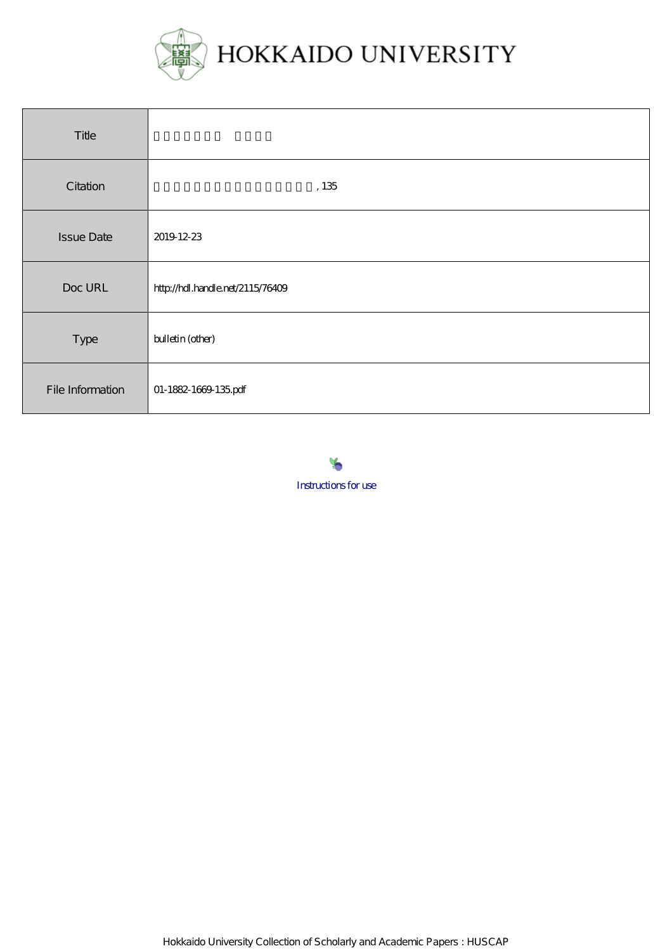

| Title             |                                  |
|-------------------|----------------------------------|
| Citation          | $,135\,$                         |
| <b>Issue Date</b> | 2019 12-23                       |
| Doc URL           | http://hdl.handle.net/2115/76409 |
| Type              | bulletin (other)                 |
| File Information  | 01-1882-1669-135pdf              |



Hokkaido University Collection of Scholarly and Academic Papers : HUSCAP